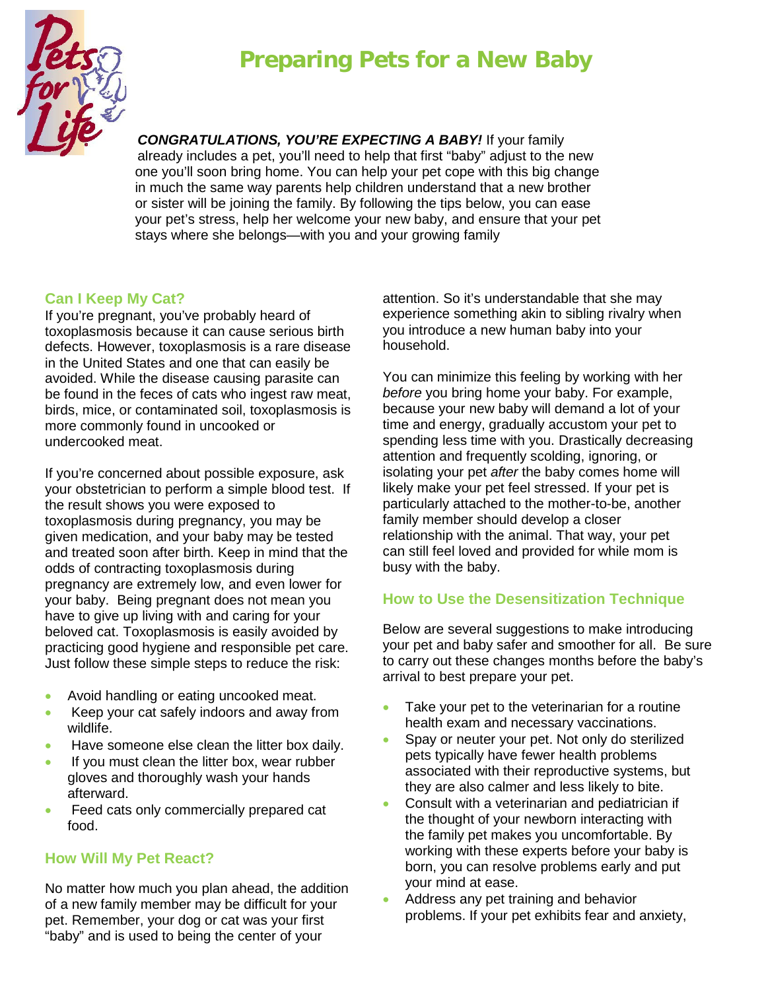# **Preparing Pets for a New Baby**



*CONGRATULATIONS, YOU'RE EXPECTING A BABY!* If your family already includes a pet, you'll need to help that first "baby" adjust to the new one you'll soon bring home. You can help your pet cope with this big change in much the same way parents help children understand that a new brother or sister will be joining the family. By following the tips below, you can ease your pet's stress, help her welcome your new baby, and ensure that your pet stays where she belongs—with you and your growing family

### **Can I Keep My Cat?**

If you're pregnant, you've probably heard of toxoplasmosis because it can cause serious birth defects. However, toxoplasmosis is a rare disease in the United States and one that can easily be avoided. While the disease causing parasite can be found in the feces of cats who ingest raw meat, birds, mice, or contaminated soil, toxoplasmosis is more commonly found in uncooked or undercooked meat.

If you're concerned about possible exposure, ask your obstetrician to perform a simple blood test. If the result shows you were exposed to toxoplasmosis during pregnancy, you may be given medication, and your baby may be tested and treated soon after birth. Keep in mind that the odds of contracting toxoplasmosis during pregnancy are extremely low, and even lower for your baby. Being pregnant does not mean you have to give up living with and caring for your beloved cat. Toxoplasmosis is easily avoided by practicing good hygiene and responsible pet care. Just follow these simple steps to reduce the risk:

- Avoid handling or eating uncooked meat.
- Keep your cat safely indoors and away from wildlife.
- Have someone else clean the litter box daily.
- If you must clean the litter box, wear rubber gloves and thoroughly wash your hands afterward.
- Feed cats only commercially prepared cat food.

### **How Will My Pet React?**

No matter how much you plan ahead, the addition of a new family member may be difficult for your pet. Remember, your dog or cat was your first "baby" and is used to being the center of your

attention. So it's understandable that she may experience something akin to sibling rivalry when you introduce a new human baby into your household.

You can minimize this feeling by working with her *before* you bring home your baby. For example, because your new baby will demand a lot of your time and energy, gradually accustom your pet to spending less time with you. Drastically decreasing attention and frequently scolding, ignoring, or isolating your pet *after* the baby comes home will likely make your pet feel stressed. If your pet is particularly attached to the mother-to-be, another family member should develop a closer relationship with the animal. That way, your pet can still feel loved and provided for while mom is busy with the baby.

### **How to Use the Desensitization Technique**

Below are several suggestions to make introducing your pet and baby safer and smoother for all. Be sure to carry out these changes months before the baby's arrival to best prepare your pet.

- Take your pet to the veterinarian for a routine health exam and necessary vaccinations.
- Spay or neuter your pet. Not only do sterilized pets typically have fewer health problems associated with their reproductive systems, but they are also calmer and less likely to bite.
- Consult with a veterinarian and pediatrician if the thought of your newborn interacting with the family pet makes you uncomfortable. By working with these experts before your baby is born, you can resolve problems early and put your mind at ease.
- Address any pet training and behavior problems. If your pet exhibits fear and anxiety,